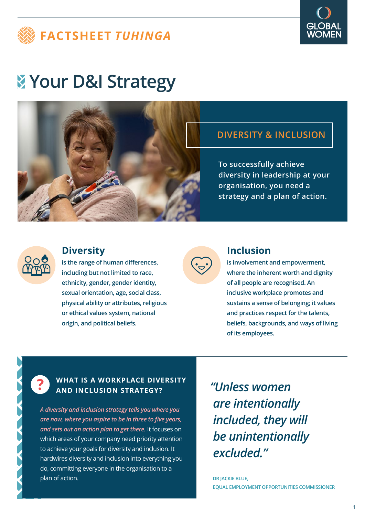



# **Your D&I Strategy**



## **DIVERSITY & INCLUSION**

**To successfully achieve diversity in leadership at your organisation, you need a strategy and a plan of action.**



### **Diversity**

**is the range of human differences, including but not limited to race, ethnicity, gender, gender identity, sexual orientation, age, social class, physical ability or attributes, religious or ethical values system, national origin, and political beliefs.**



### **Inclusion**

**is involvement and empowerment, where the inherent worth and dignity of all people are recognised. An inclusive workplace promotes and sustains a sense of belonging; it values and practices respect for the talents, beliefs, backgrounds, and ways of living of its employees.**

## **? WHAT IS A WORKPLACE DIVERSITY AND INCLUSION STRATEGY?**

*A diversity and inclusion strategy tells you where you are now, where you aspire to be in three to five years, and sets out an action plan to get there.* It focuses on which areas of your company need priority attention to achieve your goals for diversity and inclusion. It hardwires diversity and inclusion into everything you do, committing everyone in the organisation to a plan of action.

*"Unless women are intentionally included, they will be unintentionally excluded."* 

**DR JACKIE BLUE, EQUAL EMPLOYMENT OPPORTUNITIES COMMISSIONER**

**1**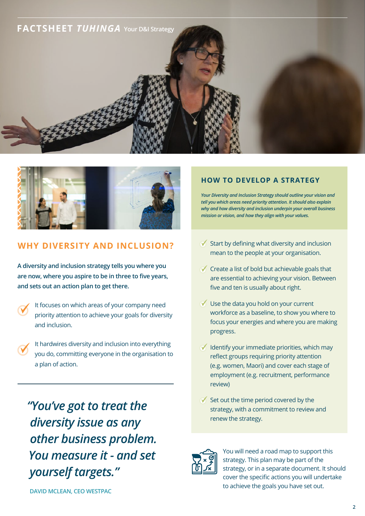



#### **WHY DIVERSITY AND INCLUSION?**

**A diversity and inclusion strategy tells you where you are now, where you aspire to be in three to five years, and sets out an action plan to get there.** 

- It focuses on which areas of your company need priority attention to achieve your goals for diversity and inclusion.
- It hardwires diversity and inclusion into everything you do, committing everyone in the organisation to a plan of action.

*"You've got to treat the diversity issue as any other business problem. You measure it - and set yourself targets."* 

#### **HOW TO DEVELOP A STRATEGY**

*Your Diversity and Inclusion Strategy should outline your vision and tell you which areas need priority attention. It should also explain why and how diversity and inclusion underpin your overall business mission or vision, and how they align with your values.*

- $\sqrt{\ }$  Start by defining what diversity and inclusion mean to the people at your organisation.
- $\checkmark$  Create a list of bold but achievable goals that are essential to achieving your vision. Between five and ten is usually about right.
- $\vee$  Use the data you hold on your current workforce as a baseline, to show you where to focus your energies and where you are making progress.
- $\sqrt{\phantom{a}}$  Identify your immediate priorities, which may reflect groups requiring priority attention (e.g. women, Maori) and cover each stage of employment (e.g. recruitment, performance review)
- $\checkmark$  Set out the time period covered by the strategy, with a commitment to review and renew the strategy.



You will need a road map to support this strategy. This plan may be part of the strategy, or in a separate document. It should cover the specific actions you will undertake to achieve the goals you have set out.